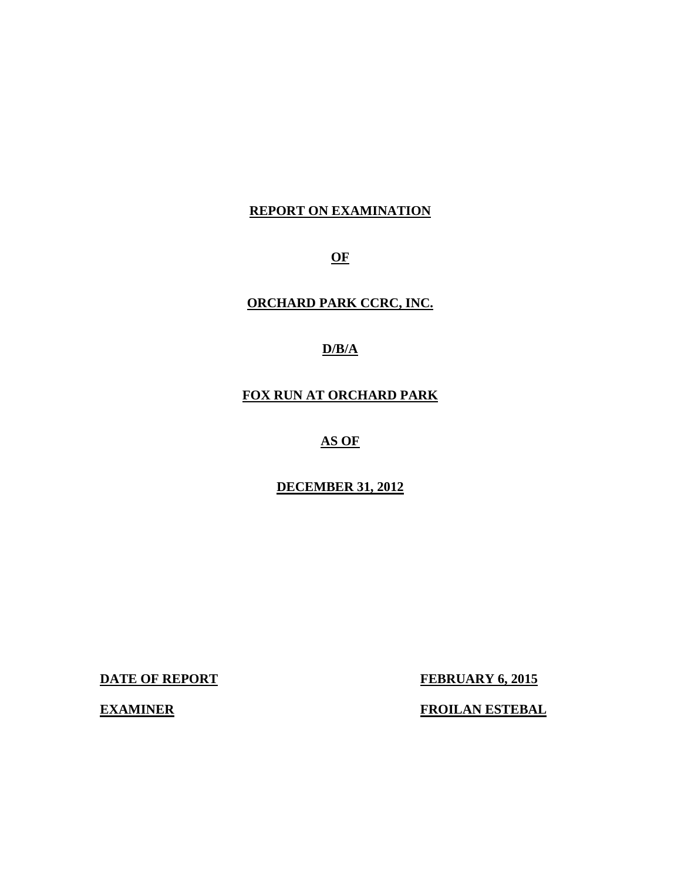## **REPORT ON EXAMINATION**

**OF** 

## **ORCHARD PARK CCRC, INC.**

## **D/B/A**

## **FOX RUN AT ORCHARD PARK**

## **AS OF**

## **DECEMBER 31, 2012**

**DATE OF REPORT FEBRUARY 6, 2015** 

**EXAMINER FROILAN ESTEBAL**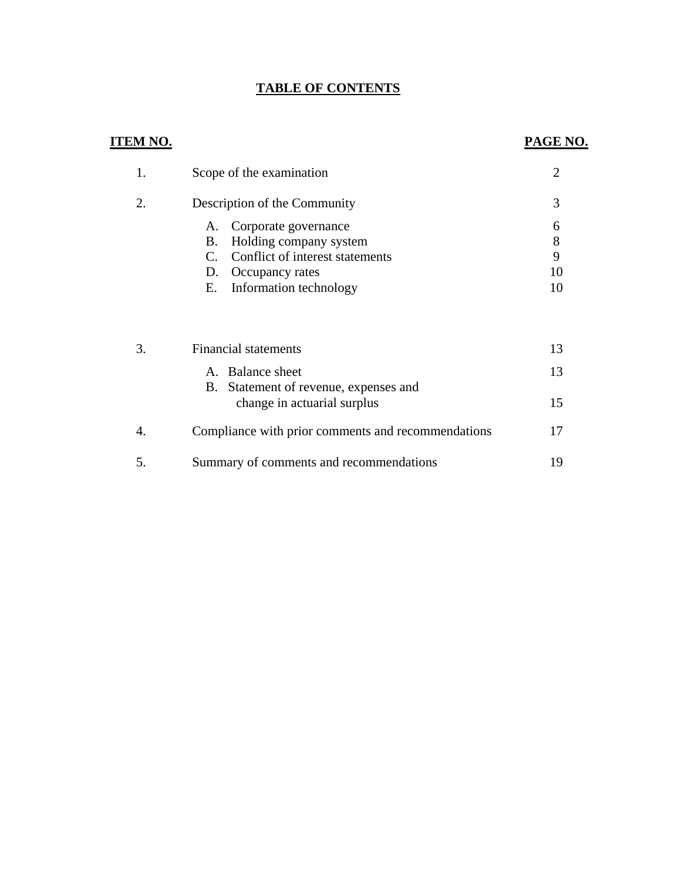## **TABLE OF CONTENTS**

## **ITEM NO.**

## **PAGE NO.**

| 1.  | Scope of the examination                                                                                                                                                         |                         |
|-----|----------------------------------------------------------------------------------------------------------------------------------------------------------------------------------|-------------------------|
| 2.  | Description of the Community                                                                                                                                                     | 3                       |
|     | Corporate governance<br>A.<br>Holding company system<br><b>B.</b><br>Conflict of interest statements<br>$\mathcal{C}_{\cdot}$<br>D. Occupancy rates<br>E. Information technology | 6<br>8<br>9<br>10<br>10 |
| 3.  | <b>Financial statements</b>                                                                                                                                                      | 13                      |
|     | A. Balance sheet                                                                                                                                                                 | 13                      |
|     | Statement of revenue, expenses and<br>B.<br>change in actuarial surplus                                                                                                          | 15                      |
| 4.  | Compliance with prior comments and recommendations                                                                                                                               | 17                      |
| .5. | Summary of comments and recommendations                                                                                                                                          | 19                      |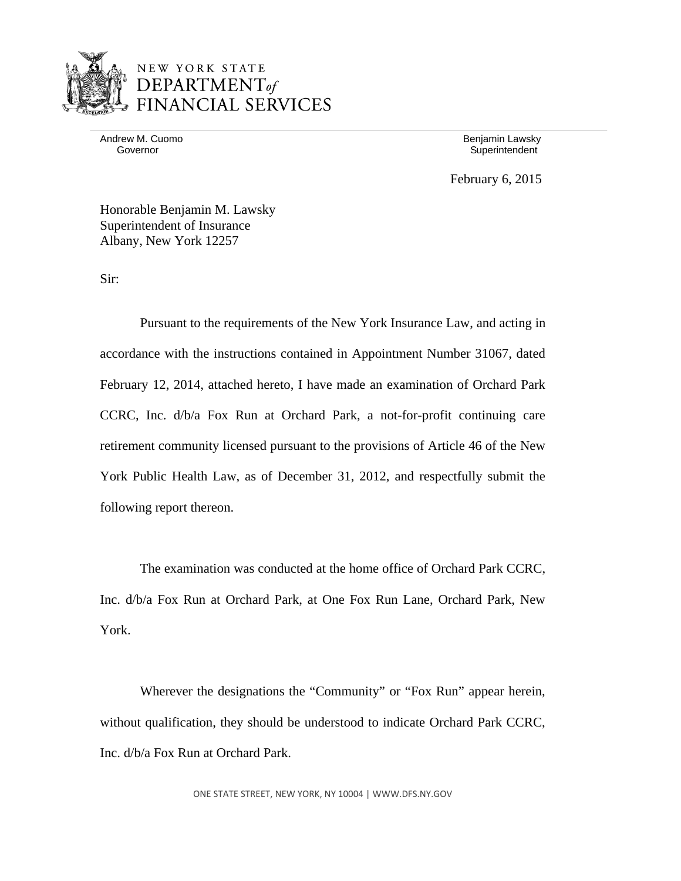

Andrew M. Cuomo **Benjamin Lawsky** 

Governor **Governor** Superintendent

February 6, 2015

Honorable Benjamin M. Lawsky Superintendent of Insurance Albany, New York 12257

Sir:

Pursuant to the requirements of the New York Insurance Law, and acting in accordance with the instructions contained in Appointment Number 31067, dated February 12, 2014, attached hereto, I have made an examination of Orchard Park CCRC, Inc. d/b/a Fox Run at Orchard Park, a not-for-profit continuing care retirement community licensed pursuant to the provisions of Article 46 of the New York Public Health Law, as of December 31, 2012, and respectfully submit the following report thereon.

The examination was conducted at the home office of Orchard Park CCRC, Inc. d/b/a Fox Run at Orchard Park, at One Fox Run Lane, Orchard Park, New York.

Wherever the designations the "Community" or "Fox Run" appear herein, without qualification, they should be understood to indicate Orchard Park CCRC, Inc. d/b/a Fox Run at Orchard Park.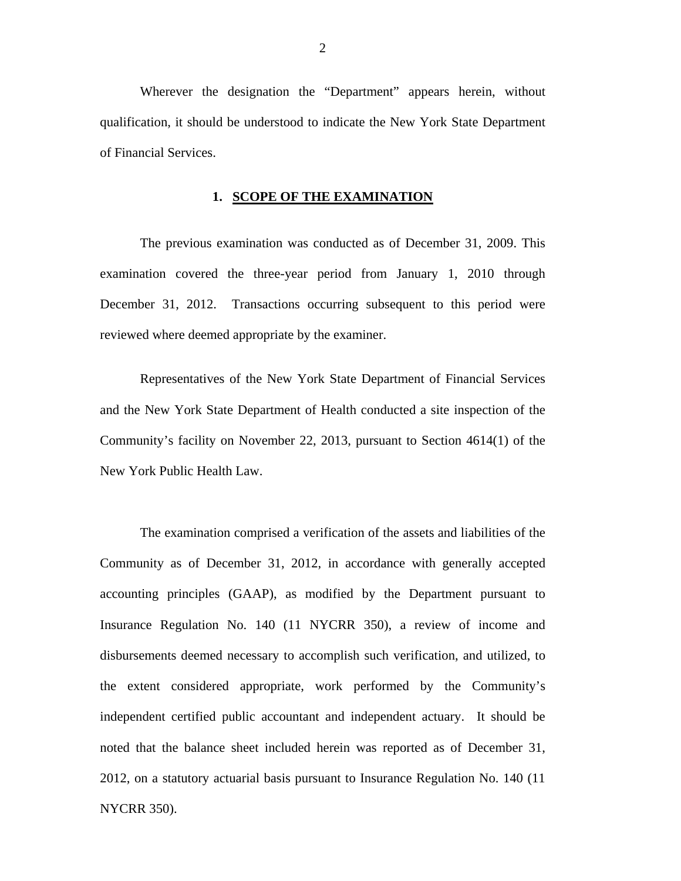Wherever the designation the "Department" appears herein, without qualification, it should be understood to indicate the New York State Department of Financial Services.

### **1. SCOPE OF THE EXAMINATION**

The previous examination was conducted as of December 31, 2009. This examination covered the three-year period from January 1, 2010 through December 31, 2012. Transactions occurring subsequent to this period were reviewed where deemed appropriate by the examiner.

Representatives of the New York State Department of Financial Services and the New York State Department of Health conducted a site inspection of the Community's facility on November 22, 2013, pursuant to Section 4614(1) of the New York Public Health Law.

The examination comprised a verification of the assets and liabilities of the Community as of December 31, 2012, in accordance with generally accepted accounting principles (GAAP), as modified by the Department pursuant to Insurance Regulation No. 140 (11 NYCRR 350), a review of income and disbursements deemed necessary to accomplish such verification, and utilized, to the extent considered appropriate, work performed by the Community's independent certified public accountant and independent actuary. It should be noted that the balance sheet included herein was reported as of December 31, 2012, on a statutory actuarial basis pursuant to Insurance Regulation No. 140 (11 NYCRR 350).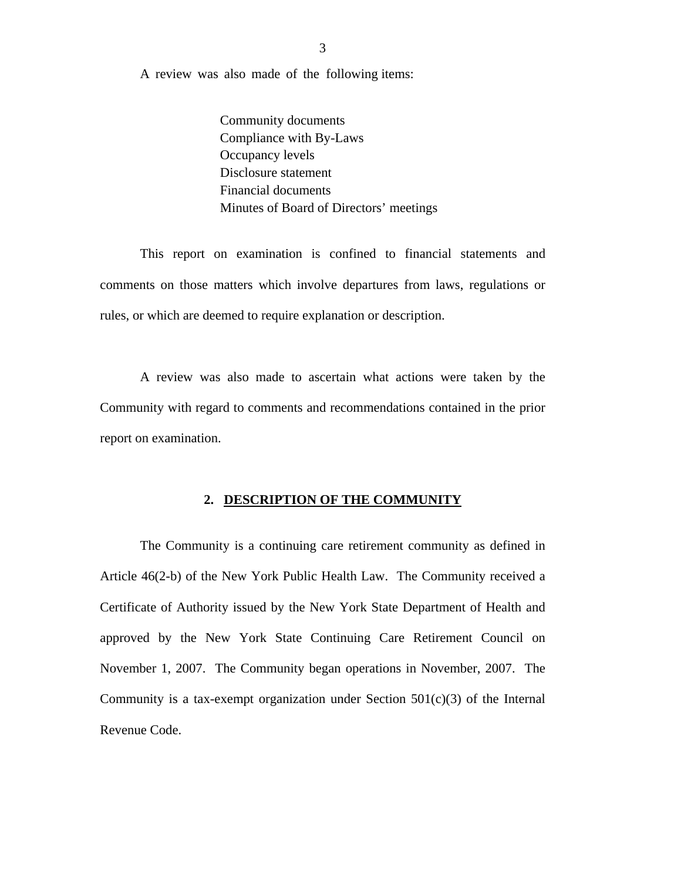A review was also made of the following items:

Community documents Compliance with By-Laws Occupancy levels Disclosure statement Financial documents Minutes of Board of Directors' meetings

This report on examination is confined to financial statements and comments on those matters which involve departures from laws, regulations or rules, or which are deemed to require explanation or description.

A review was also made to ascertain what actions were taken by the Community with regard to comments and recommendations contained in the prior report on examination.

### **2. DESCRIPTION OF THE COMMUNITY**

The Community is a continuing care retirement community as defined in Article 46(2-b) of the New York Public Health Law. The Community received a Certificate of Authority issued by the New York State Department of Health and approved by the New York State Continuing Care Retirement Council on November 1, 2007. The Community began operations in November, 2007. The Community is a tax-exempt organization under Section  $501(c)(3)$  of the Internal Revenue Code.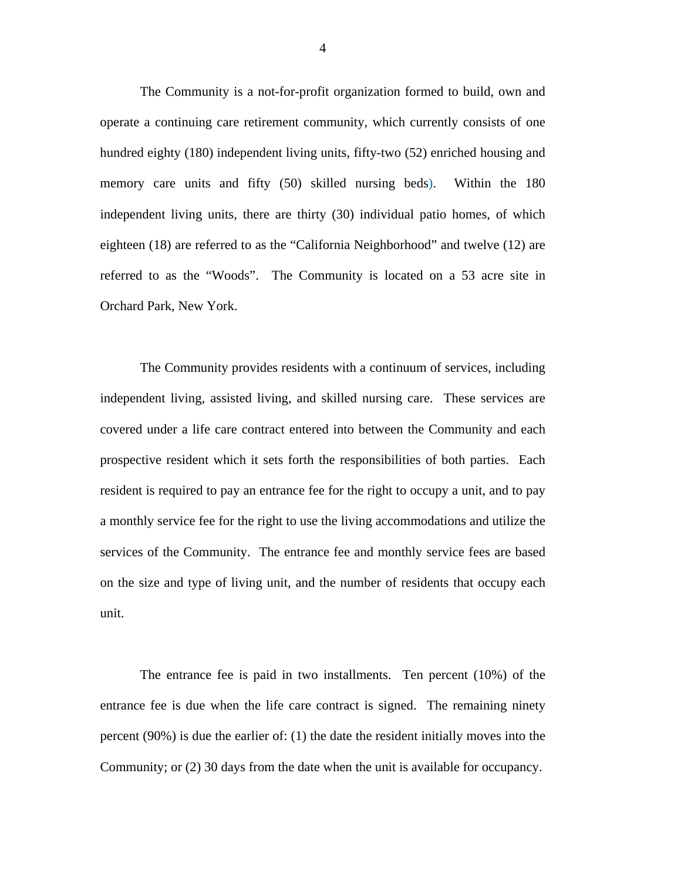The Community is a not-for-profit organization formed to build, own and operate a continuing care retirement community, which currently consists of one hundred eighty (180) independent living units, fifty-two (52) enriched housing and memory care units and fifty (50) skilled nursing beds). Within the 180 independent living units, there are thirty (30) individual patio homes, of which eighteen (18) are referred to as the "California Neighborhood" and twelve (12) are referred to as the "Woods". The Community is located on a 53 acre site in Orchard Park, New York.

The Community provides residents with a continuum of services, including independent living, assisted living, and skilled nursing care. These services are covered under a life care contract entered into between the Community and each prospective resident which it sets forth the responsibilities of both parties. Each resident is required to pay an entrance fee for the right to occupy a unit, and to pay a monthly service fee for the right to use the living accommodations and utilize the services of the Community. The entrance fee and monthly service fees are based on the size and type of living unit, and the number of residents that occupy each unit.

The entrance fee is paid in two installments. Ten percent (10%) of the entrance fee is due when the life care contract is signed. The remaining ninety percent (90%) is due the earlier of: (1) the date the resident initially moves into the Community; or (2) 30 days from the date when the unit is available for occupancy.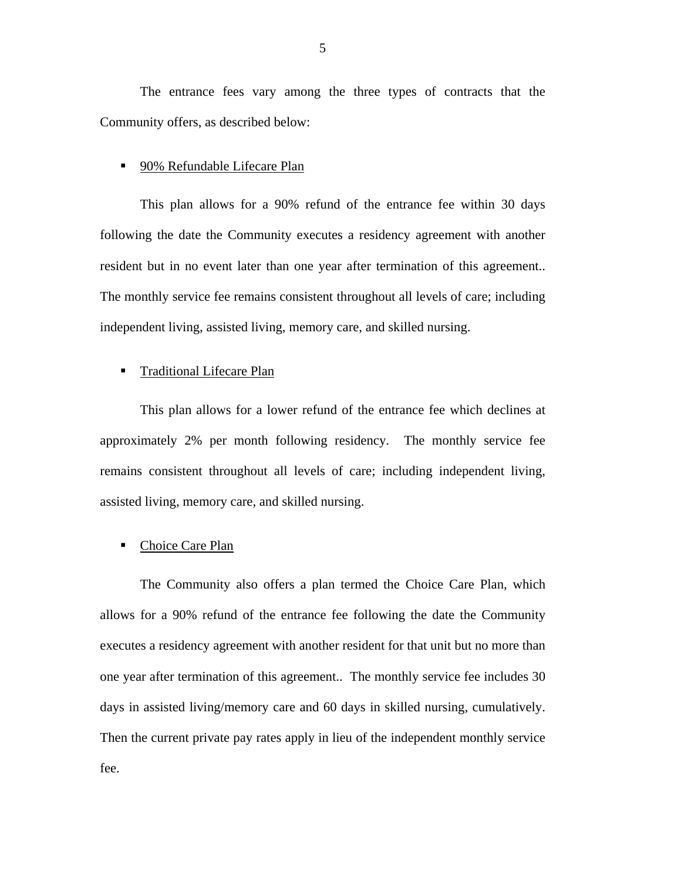The entrance fees vary among the three types of contracts that the Community offers, as described below:

### ■ 90% Refundable Lifecare Plan

This plan allows for a 90% refund of the entrance fee within 30 days following the date the Community executes a residency agreement with another resident but in no event later than one year after termination of this agreement.. The monthly service fee remains consistent throughout all levels of care; including independent living, assisted living, memory care, and skilled nursing.

### **Traditional Lifecare Plan**

This plan allows for a lower refund of the entrance fee which declines at approximately 2% per month following residency. The monthly service fee remains consistent throughout all levels of care; including independent living, assisted living, memory care, and skilled nursing.

### • Choice Care Plan

The Community also offers a plan termed the Choice Care Plan, which allows for a 90% refund of the entrance fee following the date the Community executes a residency agreement with another resident for that unit but no more than one year after termination of this agreement.. The monthly service fee includes 30 days in assisted living/memory care and 60 days in skilled nursing, cumulatively. Then the current private pay rates apply in lieu of the independent monthly service fee.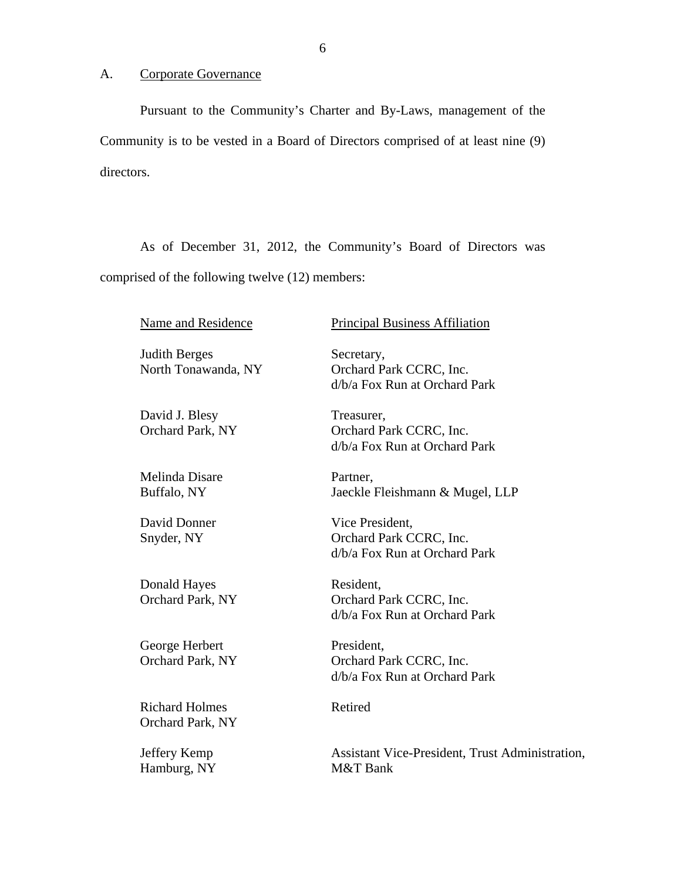### A. Corporate Governance

Pursuant to the Community's Charter and By-Laws, management of the Community is to be vested in a Board of Directors comprised of at least nine (9) directors.

As of December 31, 2012, the Community's Board of Directors was comprised of the following twelve (12) members:

Judith Berges Secretary,

David J. Blesy Treasurer,

Melinda Disare Partner,

Donald Hayes Resident,

George Herbert President,

Richard Holmes Retired Orchard Park, NY

Hamburg, NY M&T Bank

Name and Residence Principal Business Affiliation

North Tonawanda, NY Orchard Park CCRC, Inc. d/b/a Fox Run at Orchard Park

Orchard Park, NY Orchard Park CCRC, Inc. d/b/a Fox Run at Orchard Park

Buffalo, NY Jaeckle Fleishmann & Mugel, LLP

David Donner Vice President. Snyder, NY Orchard Park CCRC, Inc. d/b/a Fox Run at Orchard Park

Orchard Park, NY Orchard Park CCRC, Inc. d/b/a Fox Run at Orchard Park

Orchard Park, NY Orchard Park CCRC, Inc. d/b/a Fox Run at Orchard Park

Jeffery Kemp Assistant Vice-President, Trust Administration,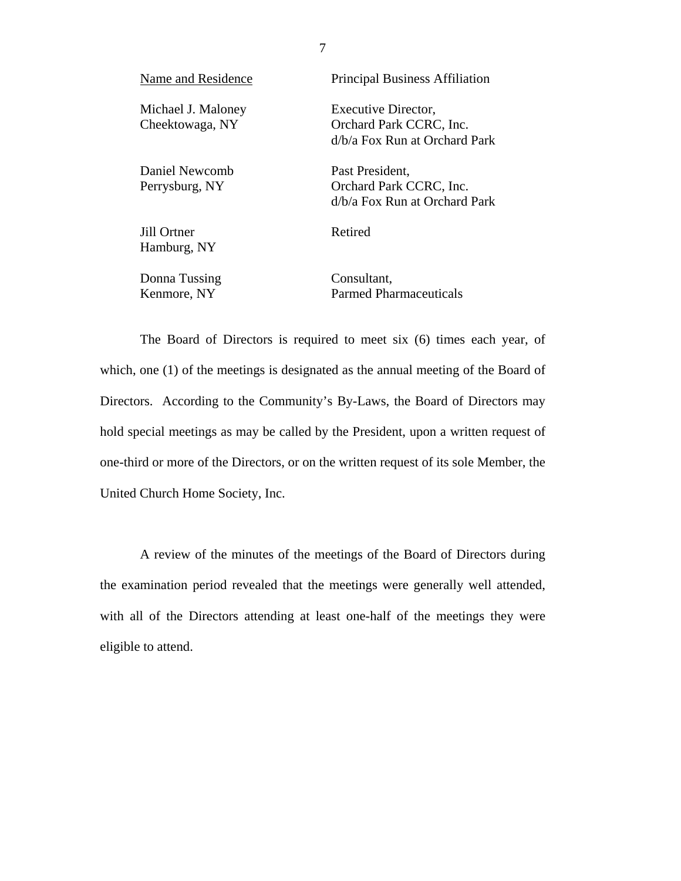| Name and Residence                    | <b>Principal Business Affiliation</b>                                             |
|---------------------------------------|-----------------------------------------------------------------------------------|
| Michael J. Maloney<br>Cheektowaga, NY | Executive Director,<br>Orchard Park CCRC, Inc.<br>$d/b/a$ Fox Run at Orchard Park |
| Daniel Newcomb<br>Perrysburg, NY      | Past President,<br>Orchard Park CCRC, Inc.<br>$d/b/a$ Fox Run at Orchard Park     |
| Jill Ortner<br>Hamburg, NY            | Retired                                                                           |

Donna Tussing Kenmore, NY

Consultant, Parmed Pharmaceuticals

The Board of Directors is required to meet six (6) times each year, of which, one (1) of the meetings is designated as the annual meeting of the Board of Directors. According to the Community's By-Laws, the Board of Directors may hold special meetings as may be called by the President, upon a written request of one-third or more of the Directors, or on the written request of its sole Member, the United Church Home Society, Inc.

A review of the minutes of the meetings of the Board of Directors during the examination period revealed that the meetings were generally well attended, with all of the Directors attending at least one-half of the meetings they were eligible to attend.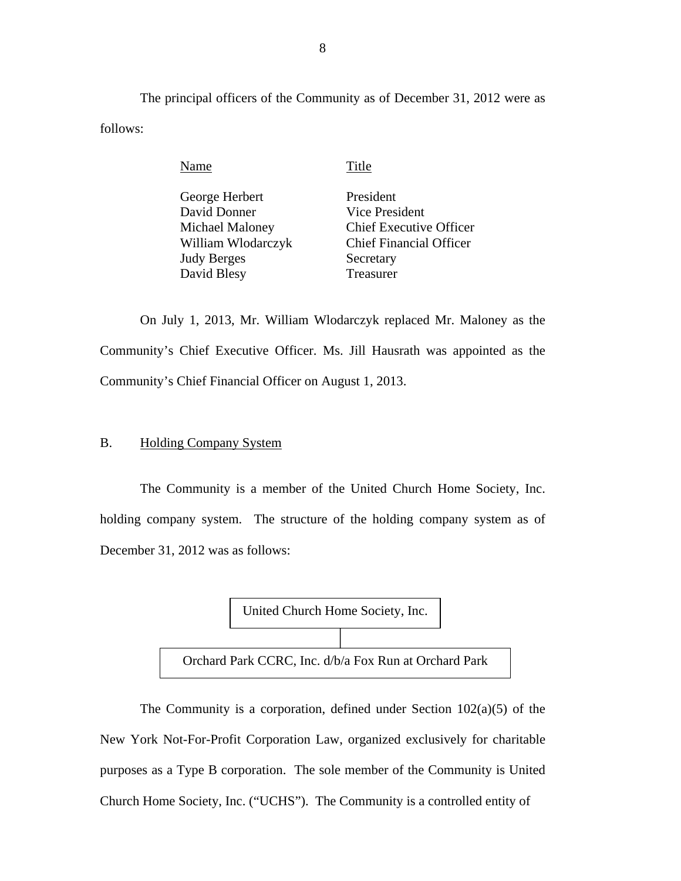The principal officers of the Community as of December 31, 2012 were as follows:

Name Title

| George Herbert     | President                      |
|--------------------|--------------------------------|
| David Donner       | Vice President                 |
| Michael Maloney    | <b>Chief Executive Officer</b> |
| William Wlodarczyk | <b>Chief Financial Officer</b> |
| Judy Berges        | Secretary                      |
| David Blesy        | Treasurer                      |

On July 1, 2013, Mr. William Wlodarczyk replaced Mr. Maloney as the Community's Chief Executive Officer. Ms. Jill Hausrath was appointed as the Community's Chief Financial Officer on August 1, 2013.

## B. Holding Company System

The Community is a member of the United Church Home Society, Inc. holding company system. The structure of the holding company system as of December 31, 2012 was as follows:



 Church Home Society, Inc. ("UCHS"). The Community is a controlled entity of The Community is a corporation, defined under Section  $102(a)(5)$  of the New York Not-For-Profit Corporation Law, organized exclusively for charitable purposes as a Type B corporation. The sole member of the Community is United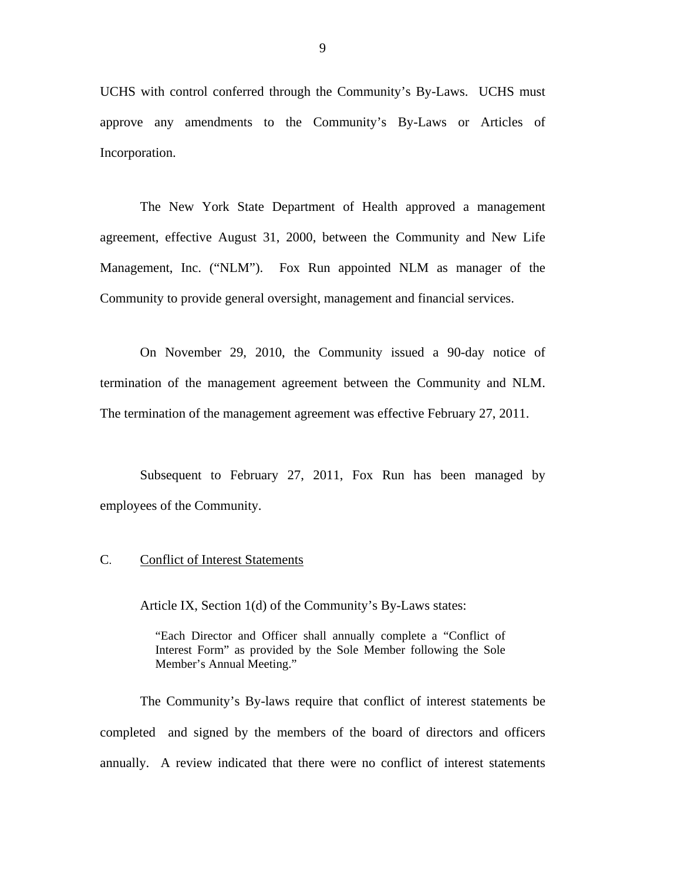UCHS with control conferred through the Community's By-Laws. UCHS must approve any amendments to the Community's By-Laws or Articles of Incorporation.

The New York State Department of Health approved a management agreement, effective August 31, 2000, between the Community and New Life Management, Inc. ("NLM"). Fox Run appointed NLM as manager of the Community to provide general oversight, management and financial services.

 termination of the management agreement between the Community and NLM. The termination of the management agreement was effective February 27, 2011. On November 29, 2010, the Community issued a 90-day notice of

Subsequent to February 27, 2011, Fox Run has been managed by employees of the Community.

### C. Conflict of Interest Statements

Article IX, Section 1(d) of the Community's By-Laws states:

"Each Director and Officer shall annually complete a "Conflict of Interest Form" as provided by the Sole Member following the Sole Member's Annual Meeting."

The Community's By-laws require that conflict of interest statements be completed and signed by the members of the board of directors and officers annually. A review indicated that there were no conflict of interest statements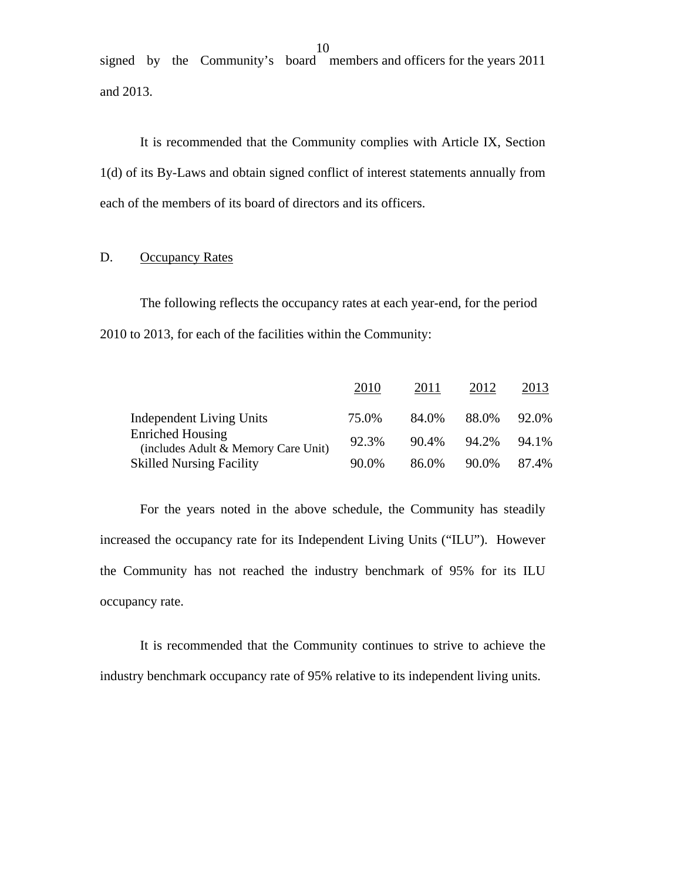signed by the Community's board members and officers for the years 2011 and 2013.

It is recommended that the Community complies with Article IX, Section 1(d) of its By-Laws and obtain signed conflict of interest statements annually from each of the members of its board of directors and its officers.

### D. Occupancy Rates

The following reflects the occupancy rates at each year-end, for the period 2010 to 2013, for each of the facilities within the Community:

|                                                                | 2010  | 2011  | 2012  | 2013  |
|----------------------------------------------------------------|-------|-------|-------|-------|
| Independent Living Units                                       | 75.0% | 84.0% | 88.0% | 92.0% |
| <b>Enriched Housing</b><br>(includes Adult & Memory Care Unit) | 92.3% | 90.4% | 94.2% | 94.1% |
| <b>Skilled Nursing Facility</b>                                | 90.0% | 86.0% | 90.0% | 87.4% |

For the years noted in the above schedule, the Community has steadily increased the occupancy rate for its Independent Living Units ("ILU"). However the Community has not reached the industry benchmark of 95% for its ILU occupancy rate.

It is recommended that the Community continues to strive to achieve the industry benchmark occupancy rate of 95% relative to its independent living units.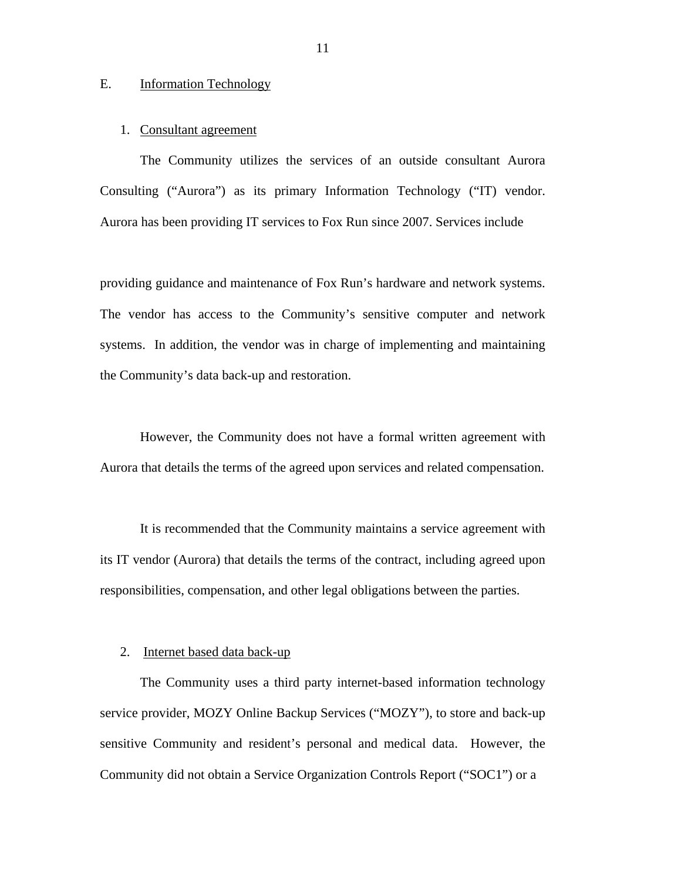### E. Information Technology

### 1. Consultant agreement

The Community utilizes the services of an outside consultant Aurora Consulting ("Aurora") as its primary Information Technology ("IT) vendor. Aurora has been providing IT services to Fox Run since 2007. Services include

providing guidance and maintenance of Fox Run's hardware and network systems. The vendor has access to the Community's sensitive computer and network systems. In addition, the vendor was in charge of implementing and maintaining the Community's data back-up and restoration.

However, the Community does not have a formal written agreement with Aurora that details the terms of the agreed upon services and related compensation.

It is recommended that the Community maintains a service agreement with its IT vendor (Aurora) that details the terms of the contract, including agreed upon responsibilities, compensation, and other legal obligations between the parties.

### 2. Internet based data back-up

The Community uses a third party internet-based information technology service provider, MOZY Online Backup Services ("MOZY"), to store and back-up sensitive Community and resident's personal and medical data. However, the Community did not obtain a Service Organization Controls Report ("SOC1") or a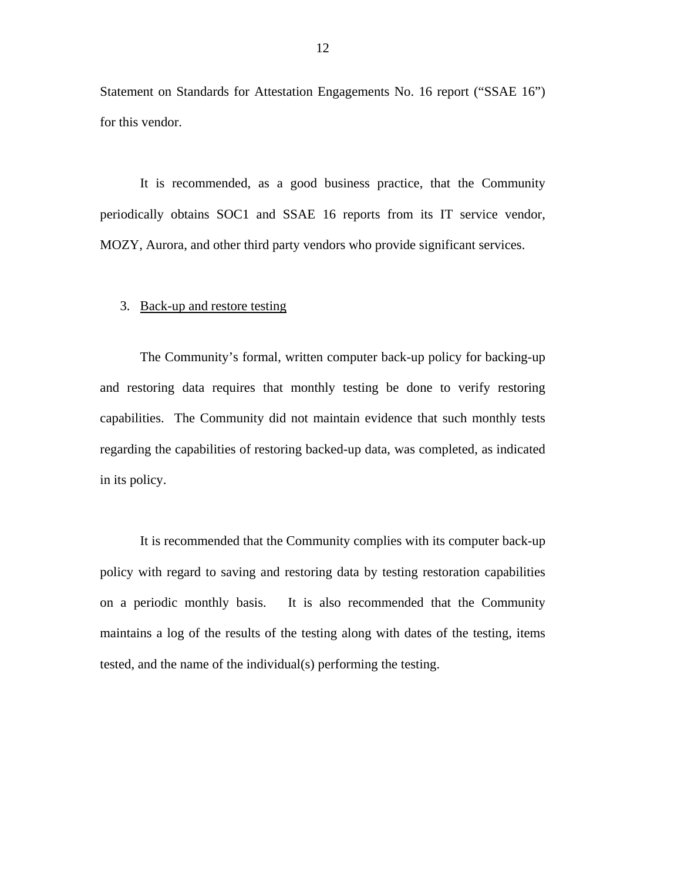Statement on Standards for Attestation Engagements No. 16 report ("SSAE 16") for this vendor.

It is recommended, as a good business practice, that the Community periodically obtains SOC1 and SSAE 16 reports from its IT service vendor, MOZY, Aurora, and other third party vendors who provide significant services.

### 3. Back-up and restore testing

in its policy. The Community's formal, written computer back-up policy for backing-up and restoring data requires that monthly testing be done to verify restoring capabilities. The Community did not maintain evidence that such monthly tests regarding the capabilities of restoring backed-up data, was completed, as indicated

It is recommended that the Community complies with its computer back-up policy with regard to saving and restoring data by testing restoration capabilities on a periodic monthly basis. It is also recommended that the Community maintains a log of the results of the testing along with dates of the testing, items tested, and the name of the individual(s) performing the testing.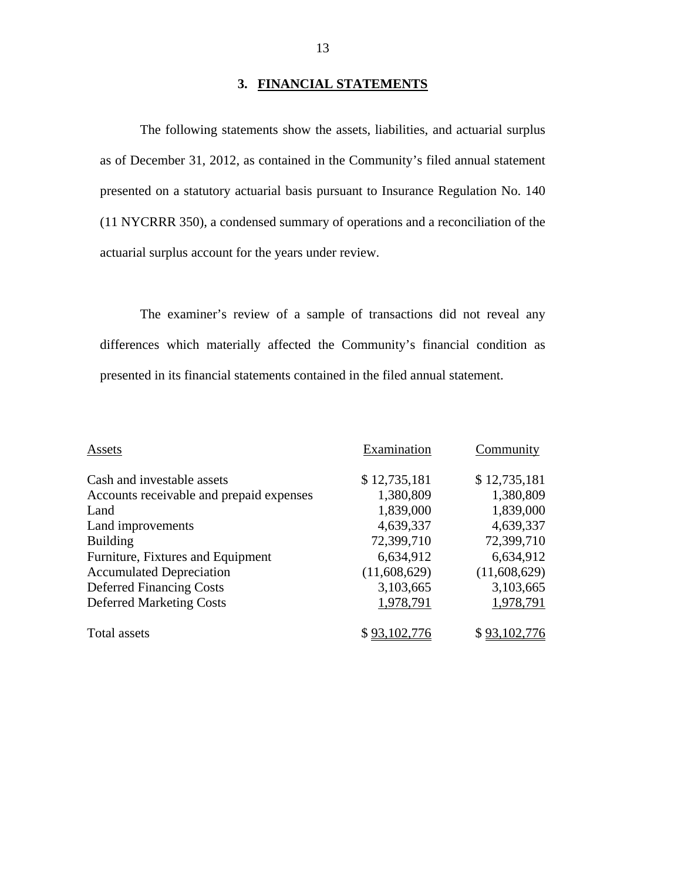## **3. FINANCIAL STATEMENTS**

The following statements show the assets, liabilities, and actuarial surplus as of December 31, 2012, as contained in the Community's filed annual statement presented on a statutory actuarial basis pursuant to Insurance Regulation No. 140 (11 NYCRRR 350), a condensed summary of operations and a reconciliation of the actuarial surplus account for the years under review.

The examiner's review of a sample of transactions did not reveal any differences which materially affected the Community's financial condition as presented in its financial statements contained in the filed annual statement.

| Assets                                   | Examination  | Community    |
|------------------------------------------|--------------|--------------|
| Cash and investable assets               | \$12,735,181 | \$12,735,181 |
| Accounts receivable and prepaid expenses | 1,380,809    | 1,380,809    |
| Land                                     | 1,839,000    | 1,839,000    |
| Land improvements                        | 4,639,337    | 4,639,337    |
| <b>Building</b>                          | 72,399,710   | 72,399,710   |
| Furniture, Fixtures and Equipment        | 6,634,912    | 6,634,912    |
| <b>Accumulated Depreciation</b>          | (11,608,629) | (11,608,629) |
| <b>Deferred Financing Costs</b>          | 3,103,665    | 3,103,665    |
| <b>Deferred Marketing Costs</b>          | 1,978,791    | 1,978,791    |
| <b>Total assets</b>                      |              | \$93.1       |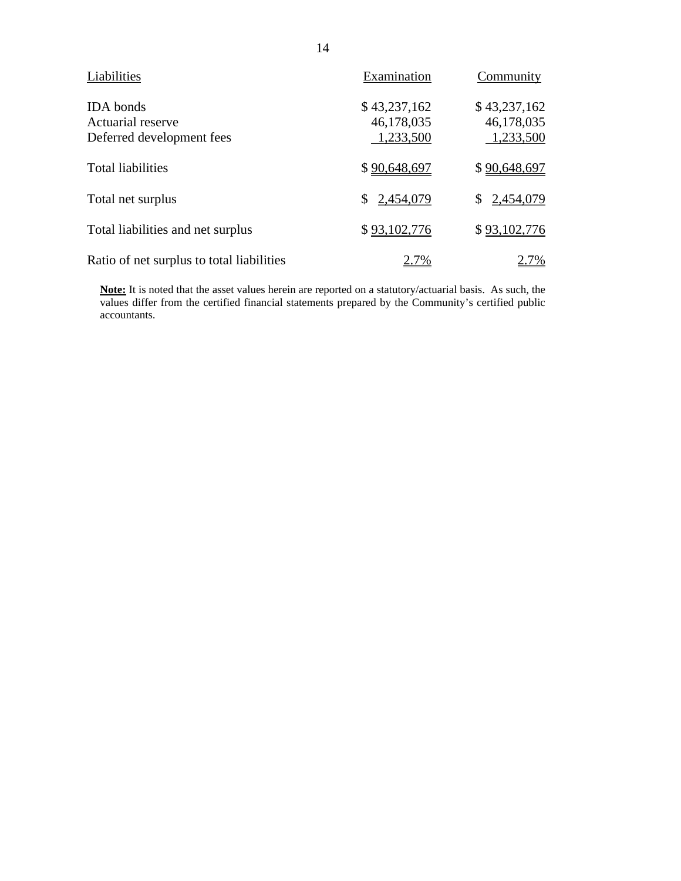| Liabilities                                                               | Examination                             | Community                               |
|---------------------------------------------------------------------------|-----------------------------------------|-----------------------------------------|
| <b>IDA</b> bonds<br><b>Actuarial reserve</b><br>Deferred development fees | \$43,237,162<br>46,178,035<br>1,233,500 | \$43,237,162<br>46,178,035<br>1,233,500 |
| <b>Total liabilities</b>                                                  | \$90,648,697                            | \$90,648,697                            |
| Total net surplus                                                         | 2,454,079                               | 2,454,079<br>\$                         |
| Total liabilities and net surplus                                         | \$93,102,776                            | \$93,102,776                            |
| Ratio of net surplus to total liabilities                                 |                                         |                                         |

**Note:** It is noted that the asset values herein are reported on a statutory/actuarial basis. As such, the values differ from the certified financial statements prepared by the Community's certified public accountants.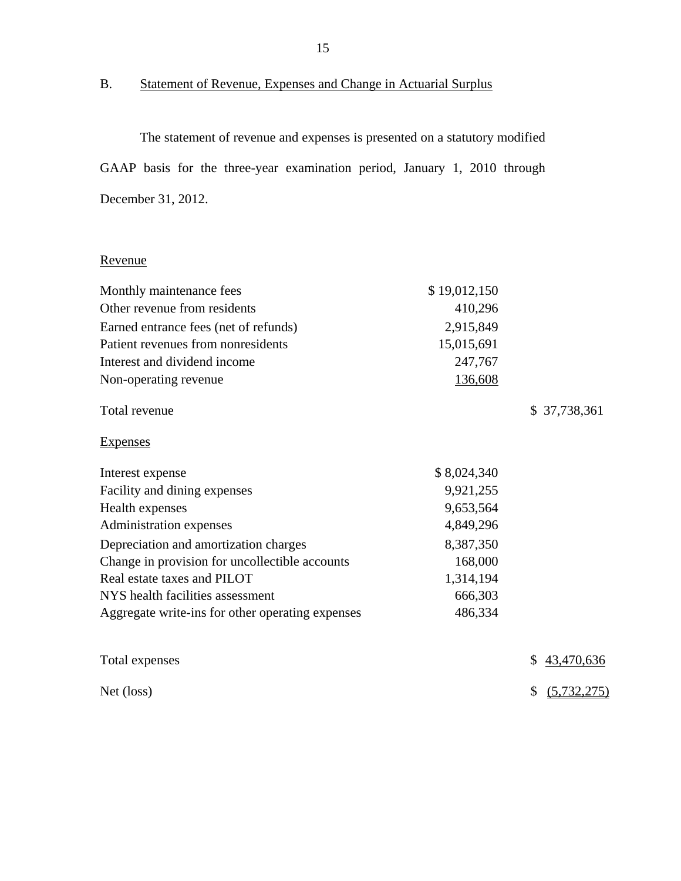B. Statement of Revenue, Expenses and Change in Actuarial Surplus

The statement of revenue and expenses is presented on a statutory modified GAAP basis for the three-year examination period, January 1, 2010 through December 31, 2012.

## Revenue

| Monthly maintenance fees                         | \$19,012,150 |                     |
|--------------------------------------------------|--------------|---------------------|
| Other revenue from residents                     | 410,296      |                     |
| Earned entrance fees (net of refunds)            | 2,915,849    |                     |
| Patient revenues from nonresidents               | 15,015,691   |                     |
| Interest and dividend income                     | 247,767      |                     |
| Non-operating revenue                            | 136,608      |                     |
| Total revenue                                    |              | \$37,738,361        |
| <b>Expenses</b>                                  |              |                     |
| Interest expense                                 | \$8,024,340  |                     |
| Facility and dining expenses                     | 9,921,255    |                     |
| Health expenses                                  | 9,653,564    |                     |
| Administration expenses                          | 4,849,296    |                     |
| Depreciation and amortization charges            | 8,387,350    |                     |
| Change in provision for uncollectible accounts   | 168,000      |                     |
| Real estate taxes and PILOT                      | 1,314,194    |                     |
| NYS health facilities assessment                 | 666,303      |                     |
| Aggregate write-ins for other operating expenses | 486,334      |                     |
| Total expenses                                   |              | \$<br>43,470,636    |
| Net (loss)                                       |              | (5, 732, 275)<br>\$ |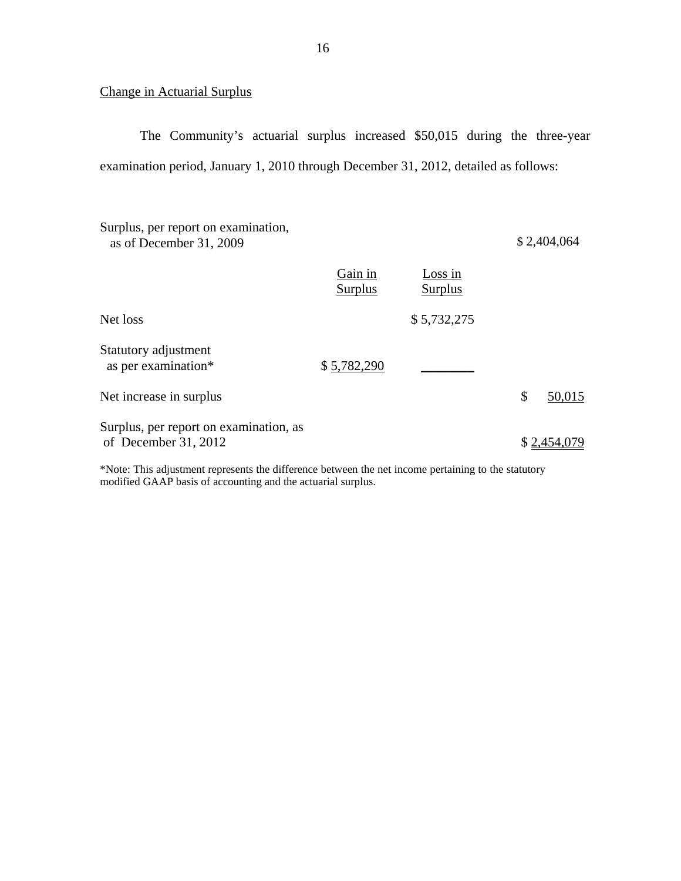## Change in Actuarial Surplus

The Community's actuarial surplus increased \$50,015 during the three-year examination period, January 1, 2010 through December 31, 2012, detailed as follows:

| Surplus, per report on examination,<br>as of December 31, 2009 |                    |                    | \$2,404,064  |
|----------------------------------------------------------------|--------------------|--------------------|--------------|
|                                                                | Gain in<br>Surplus | Loss in<br>Surplus |              |
| Net loss                                                       |                    | \$5,732,275        |              |
| Statutory adjustment<br>as per examination*                    | \$5,782,290        |                    |              |
| Net increase in surplus                                        |                    |                    | \$<br>50,015 |
| Surplus, per report on examination, as<br>of December 31, 2012 |                    |                    | \$2,454,079  |

 modified GAAP basis of accounting and the actuarial surplus. \*Note: This adjustment represents the difference between the net income pertaining to the statutory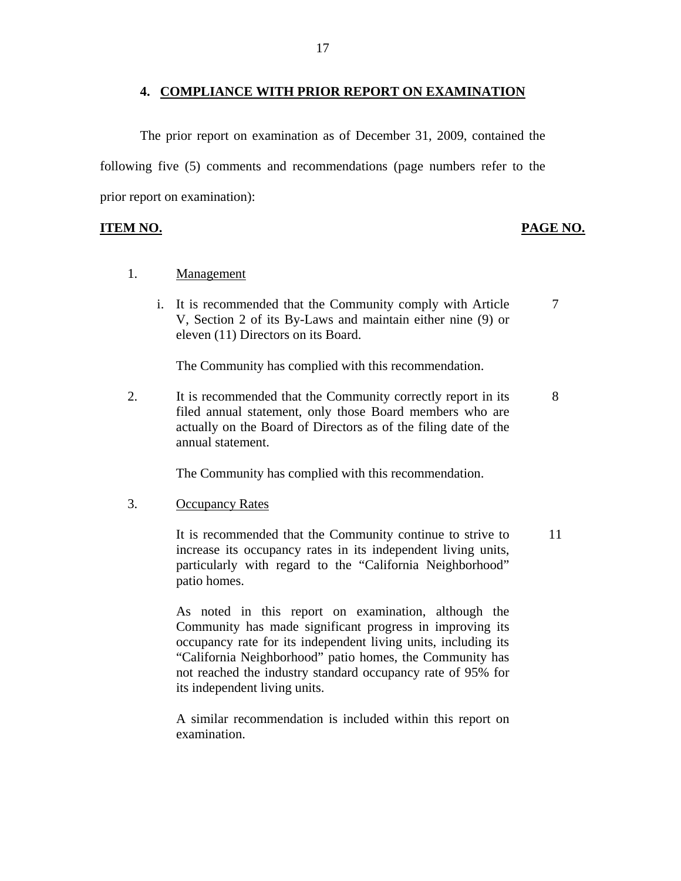### **4. COMPLIANCE WITH PRIOR REPORT ON EXAMINATION**

The prior report on examination as of December 31, 2009, contained the following five (5) comments and recommendations (page numbers refer to the prior report on examination):

### **ITEM NO. PAGE NO.**

- 1. Management
	- i. It is recommended that the Community comply with Article  $\overline{7}$ V, Section 2 of its By-Laws and maintain either nine (9) or eleven (11) Directors on its Board.

The Community has complied with this recommendation.

2. It is recommended that the Community correctly report in its 8 filed annual statement, only those Board members who are actually on the Board of Directors as of the filing date of the annual statement.

The Community has complied with this recommendation.

### 3. Occupancy Rates

It is recommended that the Community continue to strive to 11 increase its occupancy rates in its independent living units, particularly with regard to the "California Neighborhood" patio homes.

As noted in this report on examination, although the Community has made significant progress in improving its occupancy rate for its independent living units, including its "California Neighborhood" patio homes, the Community has not reached the industry standard occupancy rate of 95% for its independent living units.

A similar recommendation is included within this report on examination.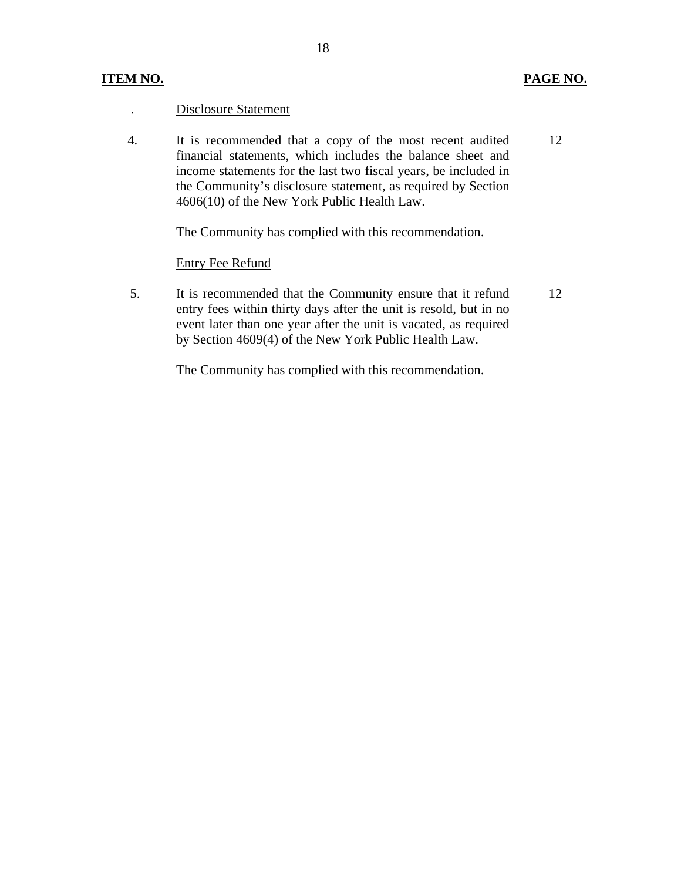## **ITEM NO. PAGE NO.**

### . Disclosure Statement

4. It is recommended that a copy of the most recent audited financial statements, which includes the balance sheet and income statements for the last two fiscal years, be included in the Community's disclosure statement, as required by Section 4606(10) of the New York Public Health Law. 12

The Community has complied with this recommendation.

### Entry Fee Refund

5. It is recommended that the Community ensure that it refund entry fees within thirty days after the unit is resold, but in no event later than one year after the unit is vacated, as required by Section 4609(4) of the New York Public Health Law. 12

The Community has complied with this recommendation.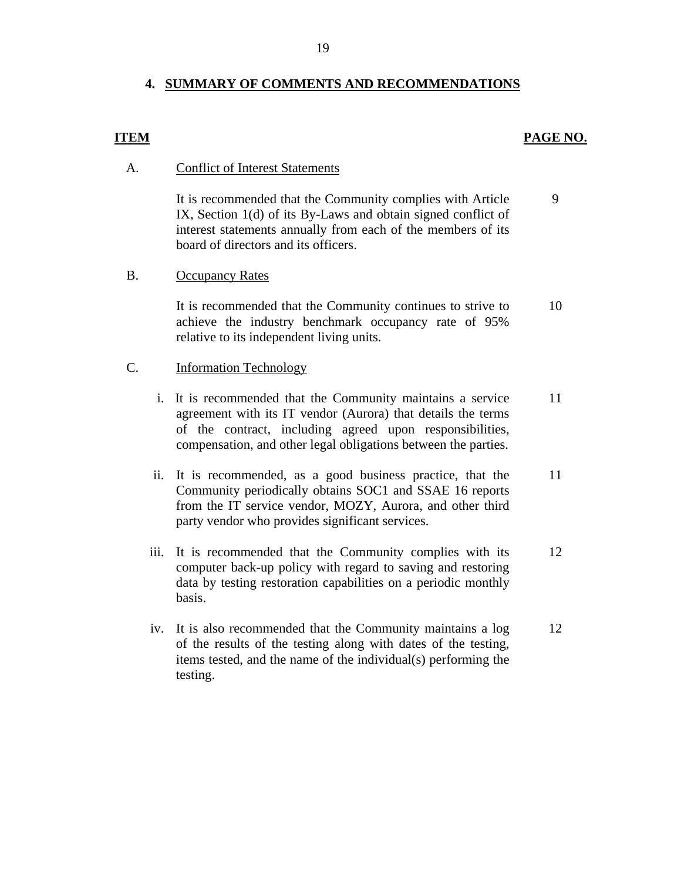## **4. SUMMARY OF COMMENTS AND RECOMMENDATIONS**

### **ITEM PAGE NO.**

### A. Conflict of Interest Statements

It is recommended that the Community complies with Article IX, Section 1(d) of its By-Laws and obtain signed conflict of interest statements annually from each of the members of its board of directors and its officers. 9

### B. Occupancy Rates

It is recommended that the Community continues to strive to achieve the industry benchmark occupancy rate of 95% relative to its independent living units. 10

### C. Information Technology

- i. It is recommended that the Community maintains a service agreement with its IT vendor (Aurora) that details the terms of the contract, including agreed upon responsibilities, compensation, and other legal obligations between the parties. 11
- ii. It is recommended, as a good business practice, that the Community periodically obtains SOC1 and SSAE 16 reports from the IT service vendor, MOZY, Aurora, and other third party vendor who provides significant services. 11
- iii. It is recommended that the Community complies with its computer back-up policy with regard to saving and restoring data by testing restoration capabilities on a periodic monthly basis. 12
- iv. It is also recommended that the Community maintains a log of the results of the testing along with dates of the testing, items tested, and the name of the individual(s) performing the testing. 12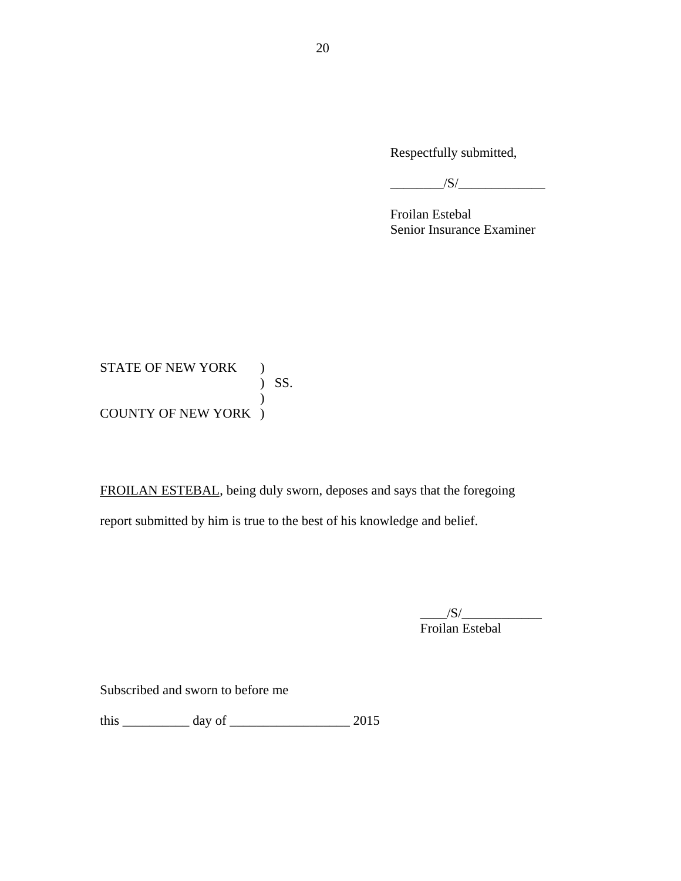Respectfully submitted,

$$
\overbrace{\qquad \qquad }^{\qquad \qquad }/S/\underbrace{\qquad \qquad }
$$

Froilan Estebal Senior Insurance Examiner

 ) SS. STATE OF NEW YORK ) ) COUNTY OF NEW YORK )

FROILAN ESTEBAL, being duly sworn, deposes and says that the foregoing report submitted by him is true to the best of his knowledge and belief.

> $/S/$ Froilan Estebal

Subscribed and sworn to before me

this \_\_\_\_\_\_\_\_\_\_ day of \_\_\_\_\_\_\_\_\_\_\_\_\_\_\_\_\_\_ 2015